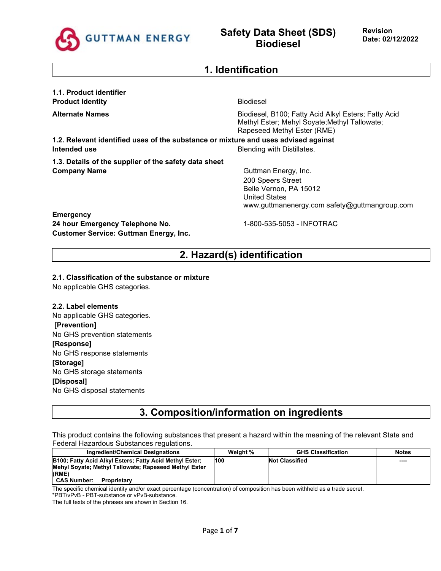

### **1. Identification**

**1.1. Product identifier Product Identity** Biodiesel

**Alternate Names Biodiesel, B100; Fatty Acid Alkyl Esters; Fatty Acid Alkyl Esters**; Fatty Acid Methyl Ester; Mehyl Soyate;Methyl Tallowate; Rapeseed Methyl Ester (RME)

**1.2. Relevant identified uses of the substance or mixture and uses advised against Intended use Intended use Blending with Distillates.** 

**1.3. Details of the supplier of the safety data sheet Company Name** Guttman Energy, Inc.

200 Speers Street Belle Vernon, PA 15012 United States www.guttmanenergy.com safety@guttmangroup.com

### **Emergency**

**24 hour Emergency Telephone No.** 1-800-535-5053 - INFOTRAC **Customer Service: Guttman Energy, Inc.**

## **2. Hazard(s) identification**

**2.1. Classification of the substance or mixture**

No applicable GHS categories.

#### **2.2. Label elements**

No applicable GHS categories. **[Prevention]** No GHS prevention statements **[Response]** No GHS response statements **[Storage]** No GHS storage statements **[Disposal]** No GHS disposal statements

### **3. Composition/information on ingredients**

This product contains the following substances that present a hazard within the meaning of the relevant State and Federal Hazardous Substances regulations.

| Ingredient/Chemical Designations                                                                                          | Weight % | <b>GHS Classification</b> | <b>Notes</b> |
|---------------------------------------------------------------------------------------------------------------------------|----------|---------------------------|--------------|
| B100; Fatty Acid Alkyl Esters; Fatty Acid Methyl Ester;<br>Mehyl Soyate; Methyl Tallowate; Rapeseed Methyl Ester<br>(RME) | 100      | <b>Not Classified</b>     | ----         |
| <b>CAS Number:</b><br>Proprietary                                                                                         |          |                           |              |

The specific chemical identity and/or exact percentage (concentration) of composition has been withheld as a trade secret.

\*PBT/vPvB - PBT-substance or vPvB-substance. The full texts of the phrases are shown in Section 16.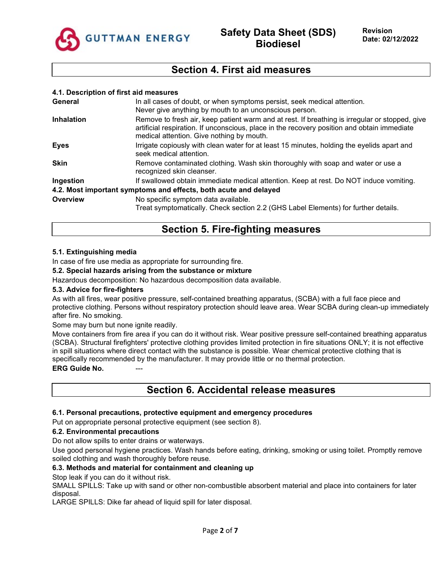

### **Section 4. First aid measures**

#### **4.1. Description of first aid measures**

| General           | In all cases of doubt, or when symptoms persist, seek medical attention.<br>Never give anything by mouth to an unconscious person.                                                                                                         |
|-------------------|--------------------------------------------------------------------------------------------------------------------------------------------------------------------------------------------------------------------------------------------|
| <b>Inhalation</b> | Remove to fresh air, keep patient warm and at rest. If breathing is irregular or stopped, give<br>artificial respiration. If unconscious, place in the recovery position and obtain immediate<br>medical attention. Give nothing by mouth. |
| <b>Eyes</b>       | Irrigate copiously with clean water for at least 15 minutes, holding the eyelids apart and<br>seek medical attention.                                                                                                                      |
| <b>Skin</b>       | Remove contaminated clothing. Wash skin thoroughly with soap and water or use a<br>recognized skin cleanser.                                                                                                                               |
| Ingestion         | If swallowed obtain immediate medical attention. Keep at rest. Do NOT induce vomiting.                                                                                                                                                     |
|                   | 4.2. Most important symptoms and effects, both acute and delayed                                                                                                                                                                           |
| <b>Overview</b>   | No specific symptom data available.<br>Treat symptomatically. Check section 2.2 (GHS Label Elements) for further details.                                                                                                                  |

### **Section 5. Fire-fighting measures**

### **5.1. Extinguishing media**

In case of fire use media as appropriate for surrounding fire.

#### **5.2. Special hazards arising from the substance or mixture**

Hazardous decomposition: No hazardous decomposition data available.

#### **5.3. Advice for fire-fighters**

As with all fires, wear positive pressure, self-contained breathing apparatus, (SCBA) with a full face piece and protective clothing. Persons without respiratory protection should leave area. Wear SCBA during clean-up immediately after fire. No smoking.

Some may burn but none ignite readily.

Move containers from fire area if you can do it without risk. Wear positive pressure self-contained breathing apparatus (SCBA). Structural firefighters' protective clothing provides limited protection in fire situations ONLY; it is not effective in spill situations where direct contact with the substance is possible. Wear chemical protective clothing that is specifically recommended by the manufacturer. It may provide little or no thermal protection. **ERG Guide No.** 

### **Section 6. Accidental release measures**

#### **6.1. Personal precautions, protective equipment and emergency procedures**

Put on appropriate personal protective equipment (see section 8).

#### **6.2. Environmental precautions**

Do not allow spills to enter drains or waterways.

Use good personal hygiene practices. Wash hands before eating, drinking, smoking or using toilet. Promptly remove soiled clothing and wash thoroughly before reuse.

#### **6.3. Methods and material for containment and cleaning up**

Stop leak if you can do it without risk.

SMALL SPILLS: Take up with sand or other non-combustible absorbent material and place into containers for later disposal.

LARGE SPILLS: Dike far ahead of liquid spill for later disposal.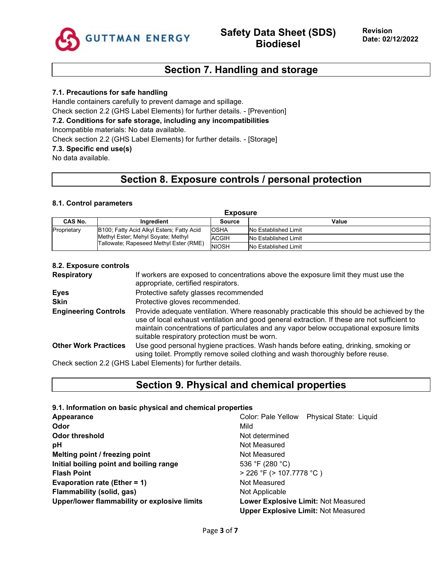

### **Section 7. Handling and storage**

### **7.1. Precautions for safe handling**

Handle containers carefully to prevent damage and spillage. Check section 2.2 (GHS Label Elements) for further details. - [Prevention]

### **7.2. Conditions for safe storage, including any incompatibilities**

Incompatible materials: No data available.

Check section 2.2 (GHS Label Elements) for further details. - [Storage]

### **7.3. Specific end use(s)**

No data available.

# **Section 8. Exposure controls / personal protection**

#### **8.1. Control parameters**

| <b>Exposure</b>                                                              |                                           |                             |                      |  |
|------------------------------------------------------------------------------|-------------------------------------------|-----------------------------|----------------------|--|
| CAS No.                                                                      | <b>Ingredient</b>                         | Source                      | Value                |  |
| Proprietary                                                                  | B100; Fatty Acid Alkyl Esters; Fatty Acid | <b>IOSHA</b>                | No Established Limit |  |
| Methyl Ester; Mehyl Soyate; Methyl<br>Tallowate; Rapeseed Methyl Ester (RME) | <b>ACGIH</b>                              | No Established Limit        |                      |  |
|                                                                              | <b>NIOSH</b>                              | <b>No Established Limit</b> |                      |  |

#### **8.2. Exposure controls**

| <b>Respiratory</b>          | If workers are exposed to concentrations above the exposure limit they must use the<br>appropriate, certified respirators.                                                                                                                                                                                                             |
|-----------------------------|----------------------------------------------------------------------------------------------------------------------------------------------------------------------------------------------------------------------------------------------------------------------------------------------------------------------------------------|
| <b>Eyes</b>                 | Protective safety glasses recommended                                                                                                                                                                                                                                                                                                  |
| Skin                        | Protective gloves recommended.                                                                                                                                                                                                                                                                                                         |
| <b>Engineering Controls</b> | Provide adequate ventilation. Where reasonably practicable this should be achieved by the<br>use of local exhaust ventilation and good general extraction. If these are not sufficient to<br>maintain concentrations of particulates and any vapor below occupational exposure limits<br>suitable respiratory protection must be worn. |
| <b>Other Work Practices</b> | Use good personal hygiene practices. Wash hands before eating, drinking, smoking or<br>using toilet. Promptly remove soiled clothing and wash thoroughly before reuse.                                                                                                                                                                 |
|                             | Check section 2.2 (GHS Label Elements) for further details.                                                                                                                                                                                                                                                                            |

# **Section 9. Physical and chemical properties**

**9.1. Information on basic physical and chemical properties**

| <b>Appearance</b>                            | Color: Pale Yellow Physical State: Liquid  |
|----------------------------------------------|--------------------------------------------|
| Odor                                         | Mild                                       |
| <b>Odor threshold</b>                        | Not determined                             |
| рH                                           | Not Measured                               |
| Melting point / freezing point               | Not Measured                               |
| Initial boiling point and boiling range      | 536 °F (280 °C)                            |
| <b>Flash Point</b>                           | $>$ 226 °F ( $>$ 107.7778 °C)              |
| <b>Evaporation rate (Ether = 1)</b>          | Not Measured                               |
| Flammability (solid, gas)                    | Not Applicable                             |
| Upper/lower flammability or explosive limits | <b>Lower Explosive Limit: Not Measured</b> |
|                                              | <b>Upper Explosive Limit: Not Measured</b> |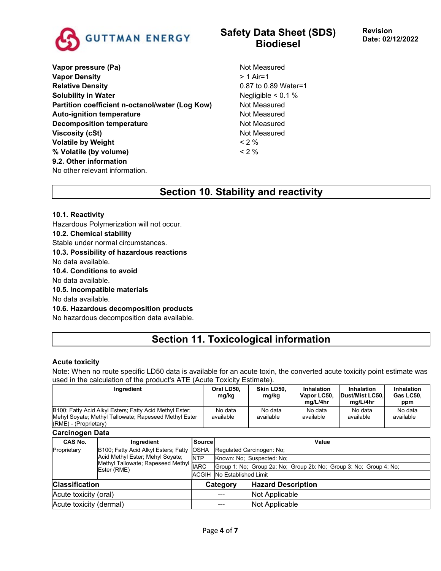

**Vapor pressure (Pa)** Not Measured **Vapor Density**  $> 1$  Air=1 **Relative Density CONSERVING PROPERTY CONSERVING PROPERTY CONSERVING PROPERTY CONSERVING PROPERTY CONSERVING PROPERTY Solubility in Water** Negligible < 0.1 % **Partition coefficient n-octanol/water (Log Kow)** Not Measured Auto-ignition temperature **Not Measured** Not Measured **Decomposition temperature** Not Measured **Viscosity (cSt)** Not Measured **Volatile by Weight**  $\leq 2\%$ **% Volatile (by volume)** < 2 % **9.2. Other information** No other relevant information.

# **Safety Data Sheet (SDS) Biodiesel**

## **Section 10. Stability and reactivity**

### **10.1. Reactivity**

Hazardous Polymerization will not occur. **10.2. Chemical stability** Stable under normal circumstances. **10.3. Possibility of hazardous reactions** No data available. **10.4. Conditions to avoid** No data available.

**10.5. Incompatible materials**

No data available.

#### **10.6. Hazardous decomposition products**

No hazardous decomposition data available.

# **Section 11. Toxicological information**

#### **Acute toxicity**

Note: When no route specific LD50 data is available for an acute toxin, the converted acute toxicity point estimate was used in the calculation of the product's ATE (Acute Toxicity Estimate).

|                                                                                      | Ingredient                                                                                                       |                           | Oral LD50,<br>mg/kg                                                | Skin LD50,<br>mg/kg       | <b>Inhalation</b><br>Vapor LC50,<br>mg/L/4hr | <b>Inhalation</b><br>Dust/Mist LC50,<br>mg/L/4hr | Inhalation<br>Gas LC50,<br>ppm |
|--------------------------------------------------------------------------------------|------------------------------------------------------------------------------------------------------------------|---------------------------|--------------------------------------------------------------------|---------------------------|----------------------------------------------|--------------------------------------------------|--------------------------------|
| (RME) - (Proprietary)                                                                | B100; Fatty Acid Alkyl Esters; Fatty Acid Methyl Ester;<br>Mehyl Soyate; Methyl Tallowate; Rapeseed Methyl Ester |                           | No data<br>available                                               | No data<br>available      | No data<br>available                         | No data<br>available                             | No data<br>available           |
| <b>Carcinogen Data</b>                                                               |                                                                                                                  |                           |                                                                    |                           |                                              |                                                  |                                |
| CAS No.                                                                              | Ingredient                                                                                                       | <b>Source</b>             |                                                                    | Value                     |                                              |                                                  |                                |
| B100; Fatty Acid Alkyl Esters; Fatty<br>Proprietary                                  |                                                                                                                  | <b>OSHA</b>               | Regulated Carcinogen: No:                                          |                           |                                              |                                                  |                                |
| Acid Methyl Ester; Mehyl Soyate;<br>Methyl Tallowate; Rapeseed Methyl<br>Ester (RME) | <b>NTP</b>                                                                                                       | Known: No: Suspected: No: |                                                                    |                           |                                              |                                                  |                                |
|                                                                                      | <b>IARC</b>                                                                                                      |                           | Group 1: No; Group 2a: No; Group 2b: No; Group 3: No; Group 4: No; |                           |                                              |                                                  |                                |
|                                                                                      |                                                                                                                  | <b>ACGIH</b>              | No Established Limit                                               |                           |                                              |                                                  |                                |
| <b>Classification</b>                                                                |                                                                                                                  |                           | Category                                                           | <b>Hazard Description</b> |                                              |                                                  |                                |
| Acute toxicity (oral)                                                                |                                                                                                                  |                           |                                                                    | Not Applicable            |                                              |                                                  |                                |
| Acute toxicity (dermal)                                                              |                                                                                                                  |                           | Not Applicable                                                     |                           |                                              |                                                  |                                |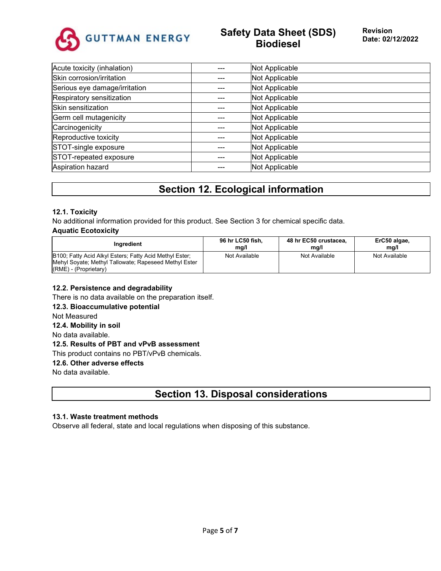

# **Safety Data Sheet (SDS) Biodiesel**

| Acute toxicity (inhalation)   | Not Applicable |
|-------------------------------|----------------|
| Skin corrosion/irritation     | Not Applicable |
| Serious eye damage/irritation | Not Applicable |
| Respiratory sensitization     | Not Applicable |
| Skin sensitization            | Not Applicable |
| Germ cell mutagenicity        | Not Applicable |
| Carcinogenicity               | Not Applicable |
| Reproductive toxicity         | Not Applicable |
| STOT-single exposure          | Not Applicable |
| STOT-repeated exposure        | Not Applicable |
| Aspiration hazard             | Not Applicable |
|                               |                |

## **Section 12. Ecological information**

### **12.1. Toxicity**

No additional information provided for this product. See Section 3 for chemical specific data.

### **Aquatic Ecotoxicity**

| Inaredient                                                                                                       | 96 hr LC50 fish.<br>mg/l | 48 hr EC50 crustacea.<br>mq/l | ErC50 algae,<br>mq/l |
|------------------------------------------------------------------------------------------------------------------|--------------------------|-------------------------------|----------------------|
| B100; Fatty Acid Alkyl Esters; Fatty Acid Methyl Ester;<br>Mehyl Soyate; Methyl Tallowate; Rapeseed Methyl Ester | Not Available            | Not Available                 | Not Available        |
| $(RME)$ - (Proprietary)                                                                                          |                          |                               |                      |

### **12.2. Persistence and degradability**

There is no data available on the preparation itself.

**12.3. Bioaccumulative potential**

Not Measured

### **12.4. Mobility in soil**

No data available.

### **12.5. Results of PBT and vPvB assessment**

This product contains no PBT/vPvB chemicals.

### **12.6. Other adverse effects**

No data available.

### **Section 13. Disposal considerations**

### **13.1. Waste treatment methods**

Observe all federal, state and local regulations when disposing of this substance.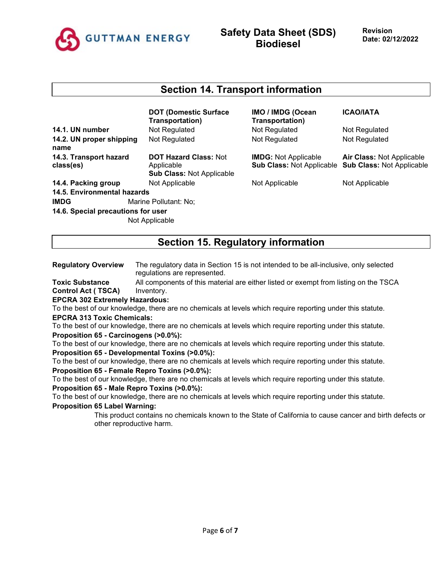

### **Section 14. Transport information**

|                                     | <b>DOT (Domestic Surface</b><br>Transportation)                                |  |
|-------------------------------------|--------------------------------------------------------------------------------|--|
| 14.1. UN number                     | Not Regulated                                                                  |  |
| 14.2. UN proper shipping<br>name    | Not Regulated                                                                  |  |
| 14.3. Transport hazard<br>class(es) | <b>DOT Hazard Class: Not</b><br>Applicable<br><b>Sub Class: Not Applicable</b> |  |
| 14.4. Packing group                 | Not Applicable                                                                 |  |
| 14.5. Environmental hazards         |                                                                                |  |
| <b>IMDG</b>                         | Marine Pollutant: No;                                                          |  |
| 14.6. Special precautions for user  |                                                                                |  |
|                                     | Not Applicable                                                                 |  |

| IMO / IMDG (Ocean<br>Transportation) |
|--------------------------------------|
| Not Regulated                        |
| Not Regulated                        |

**IMDG:** Not Applicable **Sub Class:** Not Applicable **Sub Class:** Not Applicable

**14.4. Not Applicable 14.4. Packing Not Applicable Not Applicable** 

**ICAO/IATA**

**Not Regulated** 

Not Regulated

**Air Class:** Not Applicable

### **Section 15. Regulatory information**

**Regulatory Overview** The regulatory data in Section 15 is not intended to be all-inclusive, only selected regulations are represented.

**Toxic Substance Control Act ( TSCA)** All components of this material are either listed or exempt from listing on the TSCA Inventory.

**EPCRA 302 Extremely Hazardous:**

To the best of our knowledge, there are no chemicals at levels which require reporting under this statute. **EPCRA 313 Toxic Chemicals:**

To the best of our knowledge, there are no chemicals at levels which require reporting under this statute. **Proposition 65 - Carcinogens (>0.0%):**

To the best of our knowledge, there are no chemicals at levels which require reporting under this statute. **Proposition 65 - Developmental Toxins (>0.0%):**

To the best of our knowledge, there are no chemicals at levels which require reporting under this statute. **Proposition 65 - Female Repro Toxins (>0.0%):**

To the best of our knowledge, there are no chemicals at levels which require reporting under this statute.

**Proposition 65 - Male Repro Toxins (>0.0%):**

To the best of our knowledge, there are no chemicals at levels which require reporting under this statute.

#### **Proposition 65 Label Warning:**

This product contains no chemicals known to the State of California to cause cancer and birth defects or other reproductive harm.